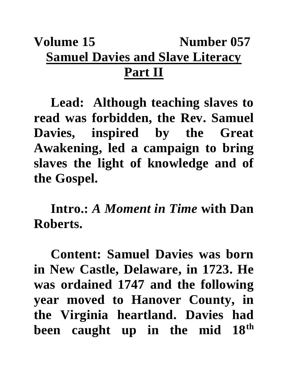## **Volume 15** Number 057 **Samuel Davies and Slave Literacy Part II**

**Lead: Although teaching slaves to read was forbidden, the Rev. Samuel Davies, inspired by the Great Awakening, led a campaign to bring slaves the light of knowledge and of the Gospel.**

**Intro.:** *A Moment in Time* **with Dan Roberts.**

**Content: Samuel Davies was born in New Castle, Delaware, in 1723. He was ordained 1747 and the following year moved to Hanover County, in the Virginia heartland. Davies had been caught up in the mid 18th**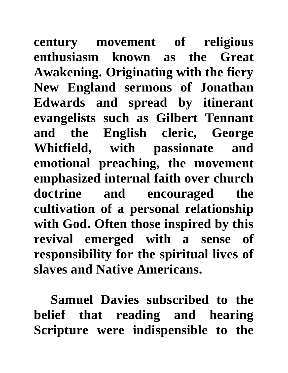**century movement of religious enthusiasm known as the Great Awakening. Originating with the fiery New England sermons of Jonathan Edwards and spread by itinerant evangelists such as Gilbert Tennant and the English cleric, George Whitfield, with passionate and emotional preaching, the movement emphasized internal faith over church doctrine and encouraged the cultivation of a personal relationship with God. Often those inspired by this revival emerged with a sense of responsibility for the spiritual lives of slaves and Native Americans.** 

**Samuel Davies subscribed to the belief that reading and hearing Scripture were indispensible to the**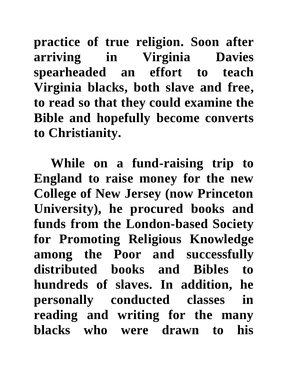**practice of true religion. Soon after arriving in Virginia Davies spearheaded an effort to teach Virginia blacks, both slave and free, to read so that they could examine the Bible and hopefully become converts to Christianity.** 

**While on a fund-raising trip to England to raise money for the new College of New Jersey (now Princeton University), he procured books and funds from the London-based Society for Promoting Religious Knowledge among the Poor and successfully distributed books and Bibles to hundreds of slaves. In addition, he personally conducted classes in reading and writing for the many blacks who were drawn to his**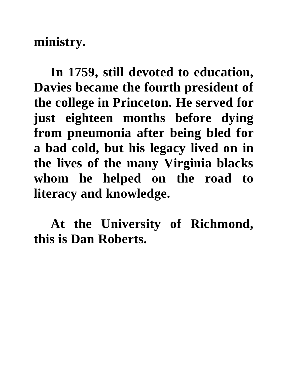**ministry.**

**In 1759, still devoted to education, Davies became the fourth president of the college in Princeton. He served for just eighteen months before dying from pneumonia after being bled for a bad cold, but his legacy lived on in the lives of the many Virginia blacks whom he helped on the road to literacy and knowledge.**

**At the University of Richmond, this is Dan Roberts.**